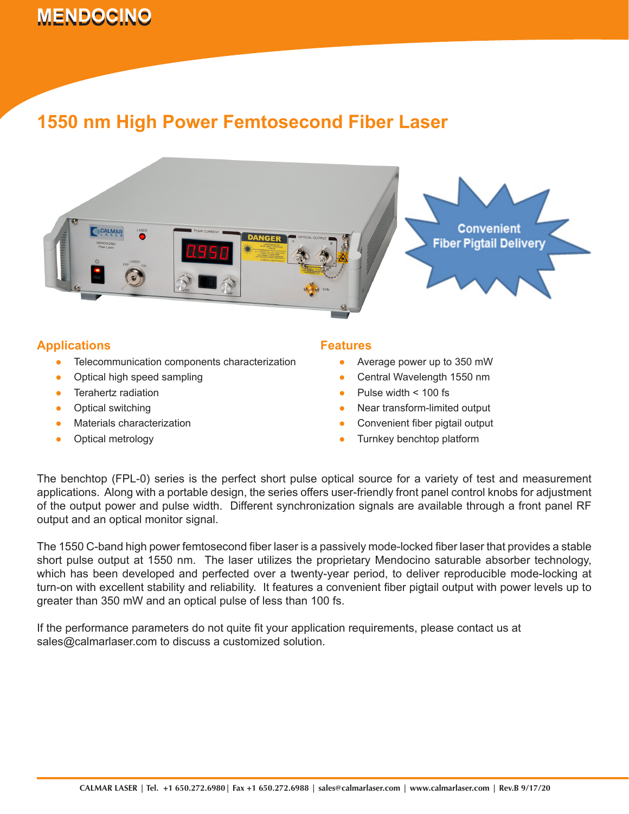# **MENDOCINO 1550 nm High Power Femtosecond Fiber Laser Power Femtosecond Fiber Laser Power Femtosecond Fiber Laser Power Femtosecond Fiber Laser Power Femtosecond Fiber Laser Power Femtosecond Fiber Laser Power Femtosecon**

## **1550 nm High Power Femtosecond Fiber Laser**



### **Applications**

- Telecommunication components characterization ●
- Optical high speed sampling ●
- Terahertz radiation ●
- Optical switching ●
- Materials characterization ●
- Optical metrology ●

#### **Features**

- Average power up to 350 mW
- Central Wavelength 1550 nm ●
- Pulse width < 100 fs ●
- Near transform-limited output ●
- Convenient fiber pigtail output ●
- Turnkey benchtop platform ●

The benchtop (FPL-0) series is the perfect short pulse optical source for a variety of test and measurement applications. Along with a portable design, the series offers user-friendly front panel control knobs for adjustment of the output power and pulse width. Different synchronization signals are available through a front panel RF output and an optical monitor signal.

The 1550 C-band high power femtosecond fiber laser is a passively mode-locked fiber laser that provides a stable short pulse output at 1550 nm. The laser utilizes the proprietary Mendocino saturable absorber technology, which has been developed and perfected over a twenty-year period, to deliver reproducible mode-locking at turn-on with excellent stability and reliability. It features a convenient fiber pigtail output with power levels up to greater than 350 mW and an optical pulse of less than 100 fs.

If the performance parameters do not quite fit your application requirements, please contact us at sales@calmarlaser.com to discuss a customized solution.